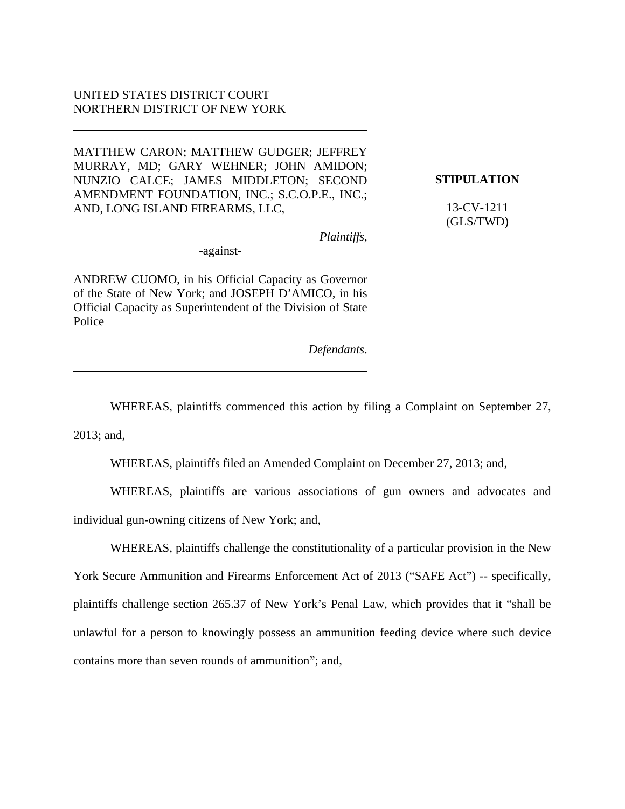## UNITED STATES DISTRICT COURT NORTHERN DISTRICT OF NEW YORK

MATTHEW CARON; MATTHEW GUDGER; JEFFREY MURRAY, MD; GARY WEHNER; JOHN AMIDON; NUNZIO CALCE; JAMES MIDDLETON; SECOND AMENDMENT FOUNDATION, INC.; S.C.O.P.E., INC.; AND, LONG ISLAND FIREARMS, LLC,

**STIPULATION**

13-CV-1211 (GLS/TWD)

*Plaintiffs*,

-against-

ANDREW CUOMO, in his Official Capacity as Governor of the State of New York; and JOSEPH D'AMICO, in his Official Capacity as Superintendent of the Division of State Police

*Defendants*.

WHEREAS, plaintiffs commenced this action by filing a Complaint on September 27,

2013; and,

WHEREAS, plaintiffs filed an Amended Complaint on December 27, 2013; and,

WHEREAS, plaintiffs are various associations of gun owners and advocates and individual gun-owning citizens of New York; and,

WHEREAS, plaintiffs challenge the constitutionality of a particular provision in the New York Secure Ammunition and Firearms Enforcement Act of 2013 ("SAFE Act") -- specifically, plaintiffs challenge section 265.37 of New York's Penal Law, which provides that it "shall be unlawful for a person to knowingly possess an ammunition feeding device where such device contains more than seven rounds of ammunition"; and,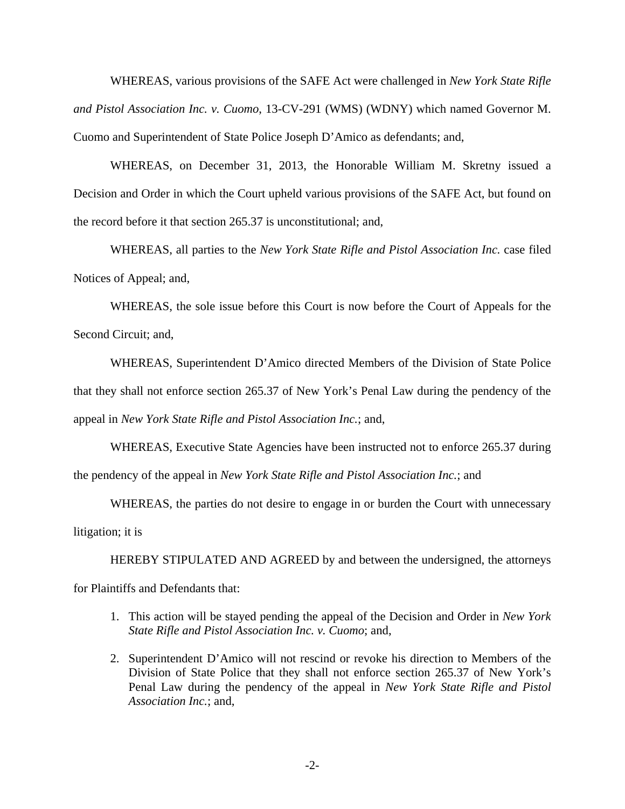WHEREAS, various provisions of the SAFE Act were challenged in *New York State Rifle and Pistol Association Inc. v. Cuomo*, 13-CV-291 (WMS) (WDNY) which named Governor M. Cuomo and Superintendent of State Police Joseph D'Amico as defendants; and,

 WHEREAS, on December 31, 2013, the Honorable William M. Skretny issued a Decision and Order in which the Court upheld various provisions of the SAFE Act, but found on the record before it that section 265.37 is unconstitutional; and,

 WHEREAS, all parties to the *New York State Rifle and Pistol Association Inc.* case filed Notices of Appeal; and,

 WHEREAS, the sole issue before this Court is now before the Court of Appeals for the Second Circuit; and,

 WHEREAS, Superintendent D'Amico directed Members of the Division of State Police that they shall not enforce section 265.37 of New York's Penal Law during the pendency of the appeal in *New York State Rifle and Pistol Association Inc.*; and,

 WHEREAS, Executive State Agencies have been instructed not to enforce 265.37 during the pendency of the appeal in *New York State Rifle and Pistol Association Inc.*; and

 WHEREAS, the parties do not desire to engage in or burden the Court with unnecessary litigation; it is

HEREBY STIPULATED AND AGREED by and between the undersigned, the attorneys for Plaintiffs and Defendants that:

- 1. This action will be stayed pending the appeal of the Decision and Order in *New York State Rifle and Pistol Association Inc. v. Cuomo*; and,
- 2. Superintendent D'Amico will not rescind or revoke his direction to Members of the Division of State Police that they shall not enforce section 265.37 of New York's Penal Law during the pendency of the appeal in *New York State Rifle and Pistol Association Inc.*; and,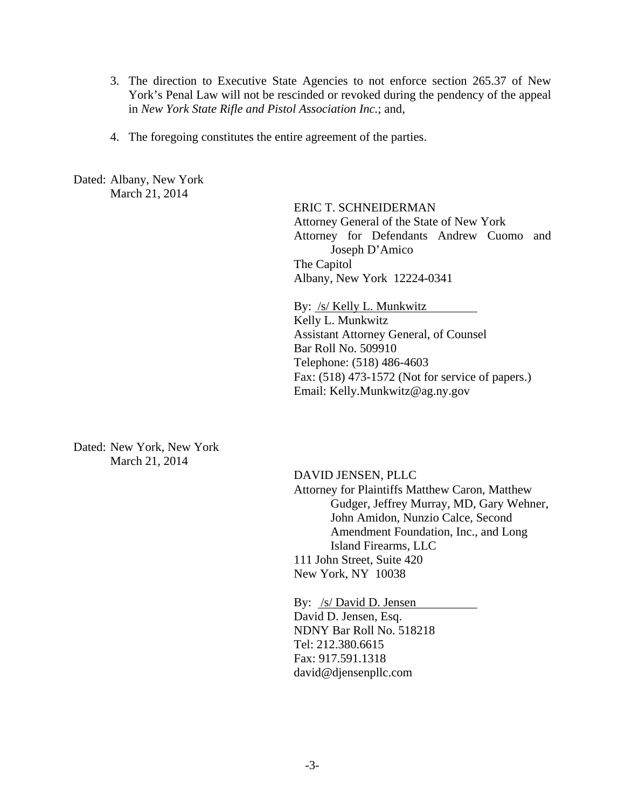- 3. The direction to Executive State Agencies to not enforce section 265.37 of New York's Penal Law will not be rescinded or revoked during the pendency of the appeal in *New York State Rifle and Pistol Association Inc.*; and,
- 4. The foregoing constitutes the entire agreement of the parties.

Dated: Albany, New York March 21, 2014

> ERIC T. SCHNEIDERMAN Attorney General of the State of New York Attorney for Defendants Andrew Cuomo and Joseph D'Amico The Capitol Albany, New York 12224-0341

By: /s/ Kelly L. Munkwitz Kelly L. Munkwitz Assistant Attorney General, of Counsel Bar Roll No. 509910 Telephone: (518) 486-4603 Fax: (518) 473-1572 (Not for service of papers.) Email: Kelly.Munkwitz@ag.ny.gov

Dated: New York, New York March 21, 2014

 DAVID JENSEN, PLLC Attorney for Plaintiffs Matthew Caron, Matthew Gudger, Jeffrey Murray, MD, Gary Wehner, John Amidon, Nunzio Calce, Second Amendment Foundation, Inc., and Long Island Firearms, LLC 111 John Street, Suite 420 New York, NY 10038

By: /s/ David D. Jensen David D. Jensen, Esq. NDNY Bar Roll No. 518218 Tel: 212.380.6615 Fax: 917.591.1318 david@djensenpllc.com